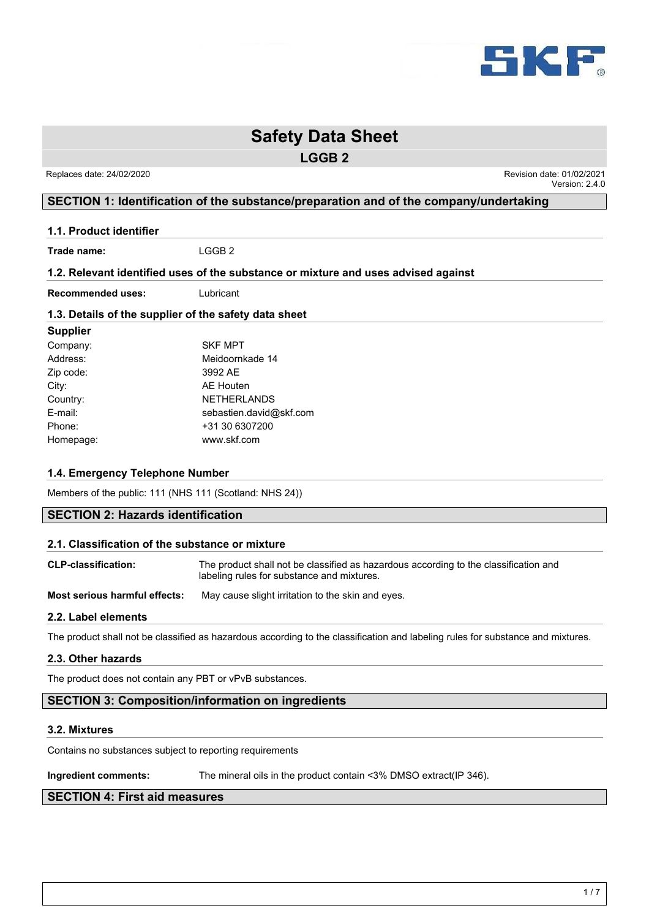

**LGGB 2**

Replaces date: 24/02/2020 **Replaces** date: 01/02/2020 Version: 2.4.0

# **SECTION 1: Identification of the substance/preparation and of the company/undertaking**

**1.1. Product identifier**

**Trade name:** LGGB 2

### **1.2. Relevant identified uses of the substance or mixture and uses advised against**

**Recommended uses:** Lubricant

### **1.3. Details of the supplier of the safety data sheet**

# **Supplier** Company: SKF MPT Address: Meidoornkade 14 Zip code: 3992 AE City: AE Houten Country: NETHERLANDS E-mail: sebastien.david@skf.com Phone: +31 30 6307200 Homepage: www.skf.com

# **1.4. Emergency Telephone Number**

Members of the public: 111 (NHS 111 (Scotland: NHS 24))

# **SECTION 2: Hazards identification**

### **2.1. Classification of the substance or mixture**

| <b>CLP-classification:</b> | The product shall not be classified as hazardous according to the classification and |
|----------------------------|--------------------------------------------------------------------------------------|
|                            | labeling rules for substance and mixtures.                                           |

**Most serious harmful effects:** May cause slight irritation to the skin and eyes.

# **2.2. Label elements**

The product shall not be classified as hazardous according to the classification and labeling rules for substance and mixtures.

### **2.3. Other hazards**

The product does not contain any PBT or vPvB substances.

# **SECTION 3: Composition/information on ingredients**

### **3.2. Mixtures**

Contains no substances subject to reporting requirements

**Ingredient comments:** The mineral oils in the product contain <3% DMSO extract(IP 346).

# **SECTION 4: First aid measures**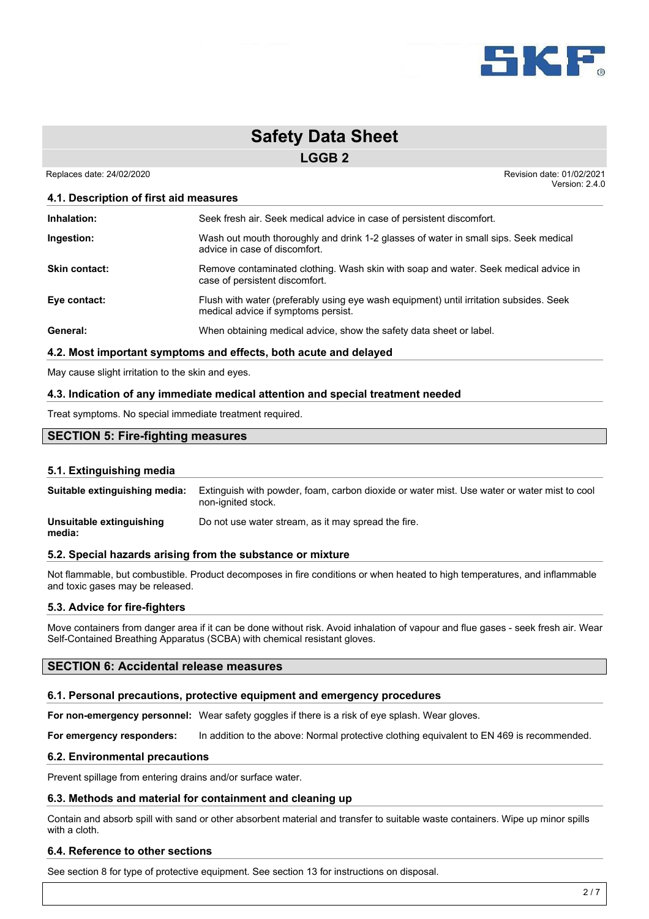

**LGGB 2**

Replaces date: 24/02/2020 **Replaces** date: 01/02/2020 Version: 2.4.0

### **4.1. Description of first aid measures**

| Inhalation:          | Seek fresh air. Seek medical advice in case of persistent discomfort.                                                         |
|----------------------|-------------------------------------------------------------------------------------------------------------------------------|
| Ingestion:           | Wash out mouth thoroughly and drink 1-2 glasses of water in small sips. Seek medical<br>advice in case of discomfort.         |
| <b>Skin contact:</b> | Remove contaminated clothing. Wash skin with soap and water. Seek medical advice in<br>case of persistent discomfort.         |
| Eye contact:         | Flush with water (preferably using eye wash equipment) until irritation subsides. Seek<br>medical advice if symptoms persist. |
| General:             | When obtaining medical advice, show the safety data sheet or label.                                                           |

### **4.2. Most important symptoms and effects, both acute and delayed**

May cause slight irritation to the skin and eyes.

### **4.3. Indication of any immediate medical attention and special treatment needed**

Treat symptoms. No special immediate treatment required.

# **SECTION 5: Fire-fighting measures**

### **5.1. Extinguishing media**

| Suitable extinguishing media: | Extinguish with powder, foam, carbon dioxide or water mist. Use water or water mist to cool<br>non-ignited stock. |
|-------------------------------|-------------------------------------------------------------------------------------------------------------------|
| Unsuitable extinguishing      | Do not use water stream, as it may spread the fire.                                                               |

**media:**

### **5.2. Special hazards arising from the substance or mixture**

Not flammable, but combustible. Product decomposes in fire conditions or when heated to high temperatures, and inflammable and toxic gases may be released.

### **5.3. Advice for fire-fighters**

Move containers from danger area if it can be done without risk. Avoid inhalation of vapour and flue gases - seek fresh air. Wear Self-Contained Breathing Apparatus (SCBA) with chemical resistant gloves.

# **SECTION 6: Accidental release measures**

### **6.1. Personal precautions, protective equipment and emergency procedures**

**For non-emergency personnel:** Wear safety goggles if there is a risk of eye splash. Wear gloves.

**For emergency responders:** In addition to the above: Normal protective clothing equivalent to EN 469 is recommended.

### **6.2. Environmental precautions**

Prevent spillage from entering drains and/or surface water.

### **6.3. Methods and material for containment and cleaning up**

Contain and absorb spill with sand or other absorbent material and transfer to suitable waste containers. Wipe up minor spills with a cloth.

### **6.4. Reference to other sections**

See section 8 for type of protective equipment. See section 13 for instructions on disposal.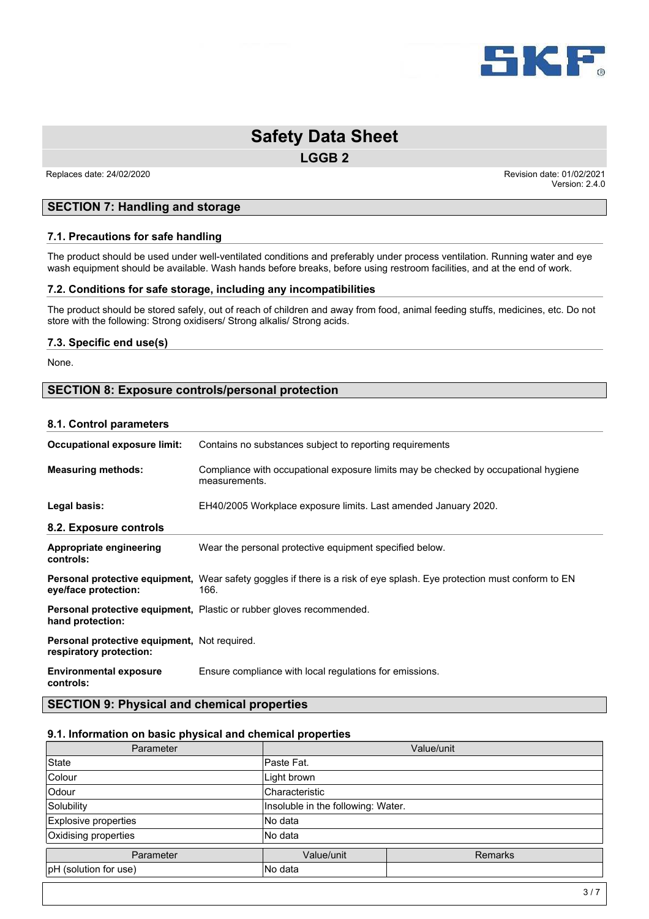

**LGGB 2**

Replaces date: 24/02/2020 **Replaces** date: 01/02/2020 Version: 2.4.0

# **SECTION 7: Handling and storage**

### **7.1. Precautions for safe handling**

The product should be used under well-ventilated conditions and preferably under process ventilation. Running water and eye wash equipment should be available. Wash hands before breaks, before using restroom facilities, and at the end of work.

### **7.2. Conditions for safe storage, including any incompatibilities**

The product should be stored safely, out of reach of children and away from food, animal feeding stuffs, medicines, etc. Do not store with the following: Strong oxidisers/ Strong alkalis/ Strong acids.

### **7.3. Specific end use(s)**

None.

# **SECTION 8: Exposure controls/personal protection**

### **8.1. Control parameters**

| Occupational exposure limit:                                                   | Contains no substances subject to reporting requirements                                                                       |
|--------------------------------------------------------------------------------|--------------------------------------------------------------------------------------------------------------------------------|
| <b>Measuring methods:</b>                                                      | Compliance with occupational exposure limits may be checked by occupational hygiene<br>measurements.                           |
| Legal basis:                                                                   | EH40/2005 Workplace exposure limits. Last amended January 2020.                                                                |
| 8.2. Exposure controls                                                         |                                                                                                                                |
| Appropriate engineering<br>controls:                                           | Wear the personal protective equipment specified below.                                                                        |
| eye/face protection:                                                           | Personal protective equipment, Wear safety goggles if there is a risk of eye splash. Eye protection must conform to EN<br>166. |
| hand protection:                                                               | <b>Personal protective equipment, Plastic or rubber gloves recommended.</b>                                                    |
| <b>Personal protective equipment, Not required.</b><br>respiratory protection: |                                                                                                                                |
| <b>Environmental exposure</b><br>controls:                                     | Ensure compliance with local regulations for emissions.                                                                        |

**SECTION 9: Physical and chemical properties**

# **9.1. Information on basic physical and chemical properties**

| Parameter             |                                    | Value/unit     |
|-----------------------|------------------------------------|----------------|
| State                 | lPaste Fat.                        |                |
| Colour                | Light brown                        |                |
| <b>Odour</b>          | Characteristic                     |                |
| Solubility            | Insoluble in the following: Water. |                |
| Explosive properties  | lNo data                           |                |
| Oxidising properties  | lNo data                           |                |
| Parameter             | Value/unit                         | <b>Remarks</b> |
| pH (solution for use) | No data                            |                |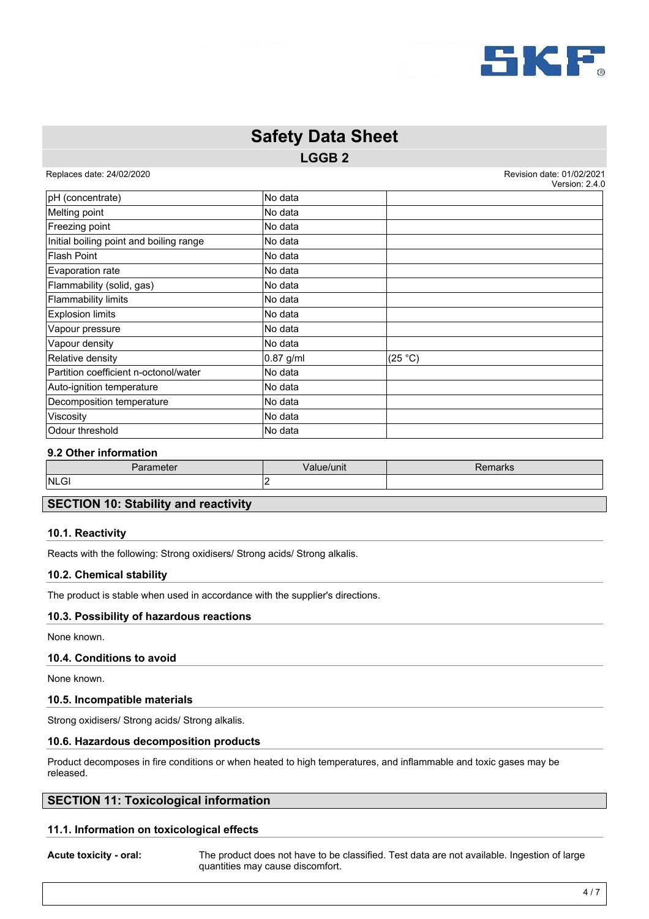

# **LGGB 2 Safety Data Sheet**

Replaces date: 24/02/2020 **Replaces** date: 01/02/2020  $V_{\rm{2}}$   $V_{\rm{2}}$   $V_{\rm{2}}$   $V_{\rm{2}}$   $V_{\rm{2}}$   $R$   $R$   $R$ 

|             | VEISIUII. Z.4.J |
|-------------|-----------------|
| No data     |                 |
| No data     |                 |
| No data     |                 |
| No data     |                 |
| No data     |                 |
| No data     |                 |
| No data     |                 |
| No data     |                 |
| No data     |                 |
| No data     |                 |
| No data     |                 |
| $0.87$ g/ml | (25 °C)         |
| No data     |                 |
| No data     |                 |
| No data     |                 |
| No data     |                 |
| No data     |                 |
|             |                 |

### **9.2 Other information**

|     | ameter<br>aia | Value/unit | <b>THIAIN</b> |
|-----|---------------|------------|---------------|
| . . | NLGI          |            |               |

# **SECTION 10: Stability and reactivity**

### **10.1. Reactivity**

Reacts with the following: Strong oxidisers/ Strong acids/ Strong alkalis.

### **10.2. Chemical stability**

The product is stable when used in accordance with the supplier's directions.

### **10.3. Possibility of hazardous reactions**

None known.

### **10.4. Conditions to avoid**

None known.

### **10.5. Incompatible materials**

Strong oxidisers/ Strong acids/ Strong alkalis.

### **10.6. Hazardous decomposition products**

Product decomposes in fire conditions or when heated to high temperatures, and inflammable and toxic gases may be released.

### **SECTION 11: Toxicological information**

### **11.1. Information on toxicological effects**

**Acute toxicity - oral:** The product does not have to be classified. Test data are not available. Ingestion of large quantities may cause discomfort.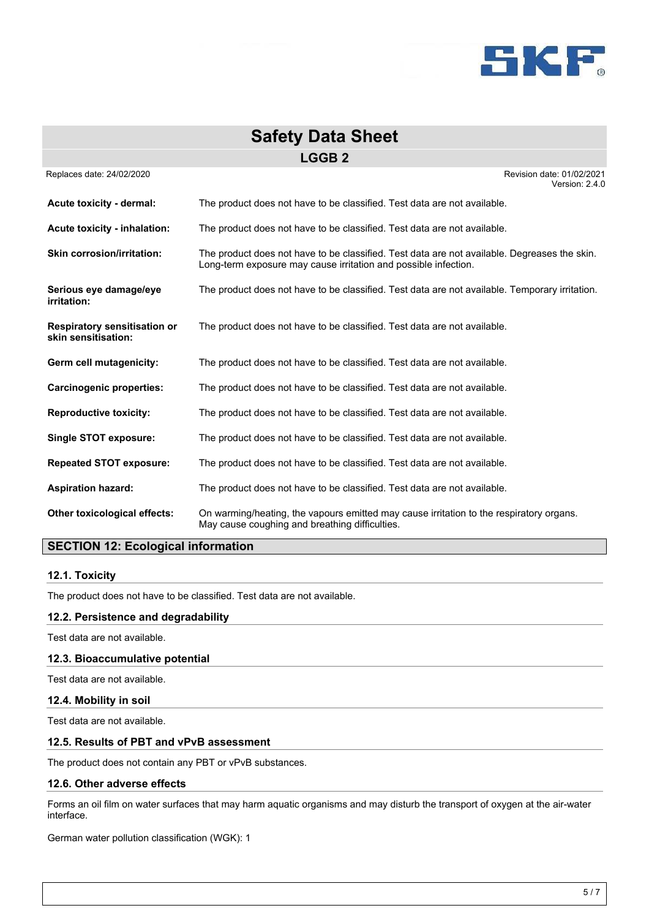

| <b>Safety Data Sheet</b>                                   |                                                                                                                                                                 |  |
|------------------------------------------------------------|-----------------------------------------------------------------------------------------------------------------------------------------------------------------|--|
|                                                            | <b>LGGB2</b>                                                                                                                                                    |  |
| Replaces date: 24/02/2020                                  | Revision date: 01/02/2021<br>Version: 2.4.0                                                                                                                     |  |
| Acute toxicity - dermal:                                   | The product does not have to be classified. Test data are not available.                                                                                        |  |
| Acute toxicity - inhalation:                               | The product does not have to be classified. Test data are not available.                                                                                        |  |
| <b>Skin corrosion/irritation:</b>                          | The product does not have to be classified. Test data are not available. Degreases the skin.<br>Long-term exposure may cause irritation and possible infection. |  |
| Serious eye damage/eye<br>irritation:                      | The product does not have to be classified. Test data are not available. Temporary irritation.                                                                  |  |
| <b>Respiratory sensitisation or</b><br>skin sensitisation: | The product does not have to be classified. Test data are not available.                                                                                        |  |
| Germ cell mutagenicity:                                    | The product does not have to be classified. Test data are not available.                                                                                        |  |
| <b>Carcinogenic properties:</b>                            | The product does not have to be classified. Test data are not available.                                                                                        |  |
| <b>Reproductive toxicity:</b>                              | The product does not have to be classified. Test data are not available.                                                                                        |  |
| <b>Single STOT exposure:</b>                               | The product does not have to be classified. Test data are not available.                                                                                        |  |
| <b>Repeated STOT exposure:</b>                             | The product does not have to be classified. Test data are not available.                                                                                        |  |
| <b>Aspiration hazard:</b>                                  | The product does not have to be classified. Test data are not available.                                                                                        |  |
| Other toxicological effects:                               | On warming/heating, the vapours emitted may cause irritation to the respiratory organs.<br>May cause coughing and breathing difficulties.                       |  |

# **SECTION 12: Ecological information**

### **12.1. Toxicity**

The product does not have to be classified. Test data are not available.

### **12.2. Persistence and degradability**

Test data are not available.

### **12.3. Bioaccumulative potential**

Test data are not available.

### **12.4. Mobility in soil**

Test data are not available.

### **12.5. Results of PBT and vPvB assessment**

The product does not contain any PBT or vPvB substances.

### **12.6. Other adverse effects**

Forms an oil film on water surfaces that may harm aquatic organisms and may disturb the transport of oxygen at the air-water interface.

German water pollution classification (WGK): 1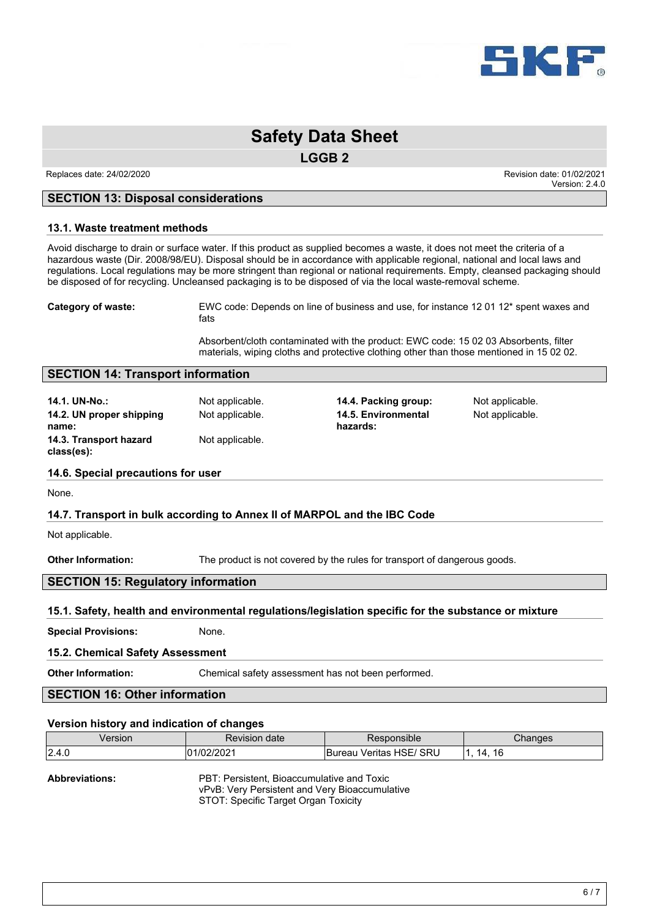

**LGGB 2**

Replaces date: 24/02/2020 **Replaces** date: 01/02/2020 Version: 2.4.0

### **SECTION 13: Disposal considerations**

### **13.1. Waste treatment methods**

Avoid discharge to drain or surface water. If this product as supplied becomes a waste, it does not meet the criteria of a hazardous waste (Dir. 2008/98/EU). Disposal should be in accordance with applicable regional, national and local laws and regulations. Local regulations may be more stringent than regional or national requirements. Empty, cleansed packaging should be disposed of for recycling. Uncleansed packaging is to be disposed of via the local waste-removal scheme.

**Category of waste:** EWC code: Depends on line of business and use, for instance 12 01 12\* spent waxes and fats

> Absorbent/cloth contaminated with the product: EWC code: 15 02 03 Absorbents, filter materials, wiping cloths and protective clothing other than those mentioned in 15 02 02.

### **SECTION 14: Transport information**

**14.1. UN-No.:** Not applicable. **14.4. Packing group:** Not applicable. **14.2. UN proper shipping name: 14.3. Transport hazard class(es):** Not applicable.

Not applicable. **14.5. Environmental hazards:**

Not applicable.

### **14.6. Special precautions for user**

None.

### **14.7. Transport in bulk according to Annex II of MARPOL and the IBC Code**

Not applicable.

**Other Information:** The product is not covered by the rules for transport of dangerous goods.

### **SECTION 15: Regulatory information**

### **15.1. Safety, health and environmental regulations/legislation specific for the substance or mixture**

**Special Provisions:** None.

### **15.2. Chemical Safety Assessment**

**Other Information:** Chemical safety assessment has not been performed.

# **SECTION 16: Other information**

### **Version history and indication of changes**

| ersion | date<br>Revision | <b>DONSIDIE</b>                             | anaes          |
|--------|------------------|---------------------------------------------|----------------|
| 2.4.0  | -01<br>∵∪∠       | SRU<br>$\sim$<br>Veritas<br>Bureau<br>10 E. | 16<br>14<br>__ |

**Abbreviations:** PBT: Persistent, Bioaccumulative and Toxic vPvB: Very Persistent and Very Bioaccumulative STOT: Specific Target Organ Toxicity